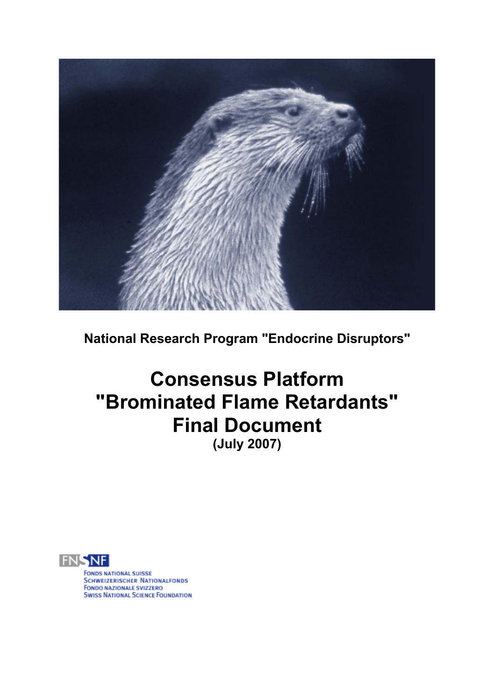

**National Research Program "Endocrine Disruptors"** 

# **Consensus Platform "Brominated Flame Retardants" Final Document (July 2007)**



**FONDS NATIONAL SUISSE SCHWEIZERISCHER NATIONALFONDS** i<br>Li FONDO NAZIONALE SVIZZERO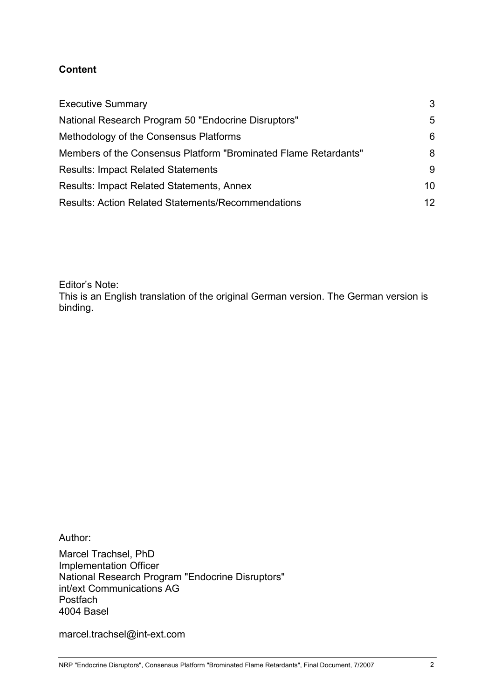#### **Content**

| <b>Executive Summary</b>                                        | 3   |
|-----------------------------------------------------------------|-----|
| National Research Program 50 "Endocrine Disruptors"             | 5.  |
| Methodology of the Consensus Platforms                          | 6   |
| Members of the Consensus Platform "Brominated Flame Retardants" | 8   |
| <b>Results: Impact Related Statements</b>                       | 9   |
| <b>Results: Impact Related Statements, Annex</b>                | 10  |
| <b>Results: Action Related Statements/Recommendations</b>       | 12. |

Editor's Note:

This is an English translation of the original German version. The German version is binding.

Author:

Marcel Trachsel, PhD Implementation Officer National Research Program "Endocrine Disruptors" int/ext Communications AG **Postfach** 4004 Basel

marcel.trachsel@int-ext.com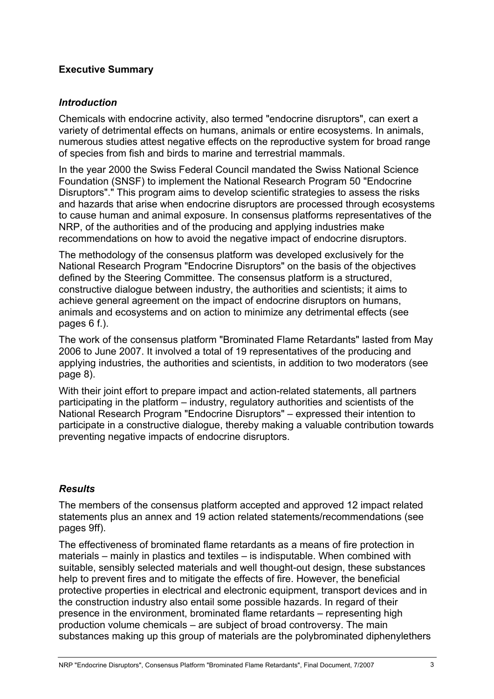#### **Executive Summary**

#### *Introduction*

Chemicals with endocrine activity, also termed "endocrine disruptors", can exert a variety of detrimental effects on humans, animals or entire ecosystems. In animals, numerous studies attest negative effects on the reproductive system for broad range of species from fish and birds to marine and terrestrial mammals.

In the year 2000 the Swiss Federal Council mandated the Swiss National Science Foundation (SNSF) to implement the National Research Program 50 "Endocrine Disruptors"." This program aims to develop scientific strategies to assess the risks and hazards that arise when endocrine disruptors are processed through ecosystems to cause human and animal exposure. In consensus platforms representatives of the NRP, of the authorities and of the producing and applying industries make recommendations on how to avoid the negative impact of endocrine disruptors.

The methodology of the consensus platform was developed exclusively for the National Research Program "Endocrine Disruptors" on the basis of the objectives defined by the Steering Committee. The consensus platform is a structured, constructive dialogue between industry, the authorities and scientists; it aims to achieve general agreement on the impact of endocrine disruptors on humans, animals and ecosystems and on action to minimize any detrimental effects (see pages 6 f.).

The work of the consensus platform "Brominated Flame Retardants" lasted from May 2006 to June 2007. It involved a total of 19 representatives of the producing and applying industries, the authorities and scientists, in addition to two moderators (see page 8).

With their joint effort to prepare impact and action-related statements, all partners participating in the platform – industry, regulatory authorities and scientists of the National Research Program "Endocrine Disruptors" – expressed their intention to participate in a constructive dialogue, thereby making a valuable contribution towards preventing negative impacts of endocrine disruptors.

## *Results*

The members of the consensus platform accepted and approved 12 impact related statements plus an annex and 19 action related statements/recommendations (see pages 9ff).

The effectiveness of brominated flame retardants as a means of fire protection in materials – mainly in plastics and textiles – is indisputable. When combined with suitable, sensibly selected materials and well thought-out design, these substances help to prevent fires and to mitigate the effects of fire. However, the beneficial protective properties in electrical and electronic equipment, transport devices and in the construction industry also entail some possible hazards. In regard of their presence in the environment, brominated flame retardants – representing high production volume chemicals – are subject of broad controversy. The main substances making up this group of materials are the polybrominated diphenylethers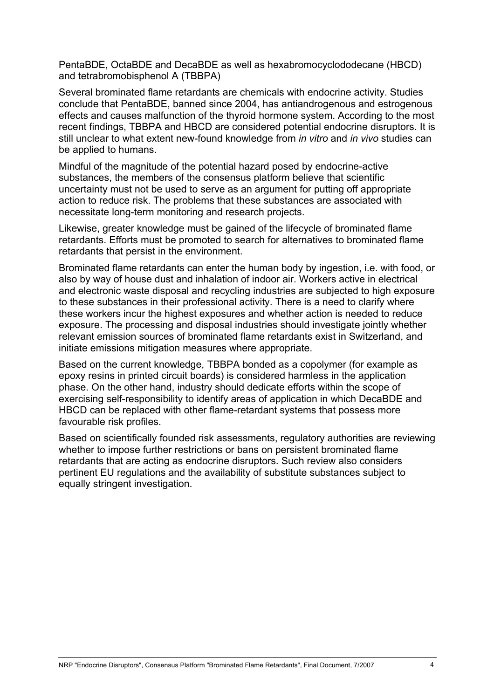PentaBDE, OctaBDE and DecaBDE as well as hexabromocyclododecane (HBCD) and tetrabromobisphenol A (TBBPA)

Several brominated flame retardants are chemicals with endocrine activity. Studies conclude that PentaBDE, banned since 2004, has antiandrogenous and estrogenous effects and causes malfunction of the thyroid hormone system. According to the most recent findings, TBBPA and HBCD are considered potential endocrine disruptors. It is still unclear to what extent new-found knowledge from *in vitro* and *in vivo* studies can be applied to humans.

Mindful of the magnitude of the potential hazard posed by endocrine-active substances, the members of the consensus platform believe that scientific uncertainty must not be used to serve as an argument for putting off appropriate action to reduce risk. The problems that these substances are associated with necessitate long-term monitoring and research projects.

Likewise, greater knowledge must be gained of the lifecycle of brominated flame retardants. Efforts must be promoted to search for alternatives to brominated flame retardants that persist in the environment.

Brominated flame retardants can enter the human body by ingestion, i.e. with food, or also by way of house dust and inhalation of indoor air. Workers active in electrical and electronic waste disposal and recycling industries are subjected to high exposure to these substances in their professional activity. There is a need to clarify where these workers incur the highest exposures and whether action is needed to reduce exposure. The processing and disposal industries should investigate jointly whether relevant emission sources of brominated flame retardants exist in Switzerland, and initiate emissions mitigation measures where appropriate.

Based on the current knowledge, TBBPA bonded as a copolymer (for example as epoxy resins in printed circuit boards) is considered harmless in the application phase. On the other hand, industry should dedicate efforts within the scope of exercising self-responsibility to identify areas of application in which DecaBDE and HBCD can be replaced with other flame-retardant systems that possess more favourable risk profiles.

Based on scientifically founded risk assessments, regulatory authorities are reviewing whether to impose further restrictions or bans on persistent brominated flame retardants that are acting as endocrine disruptors. Such review also considers pertinent EU regulations and the availability of substitute substances subject to equally stringent investigation.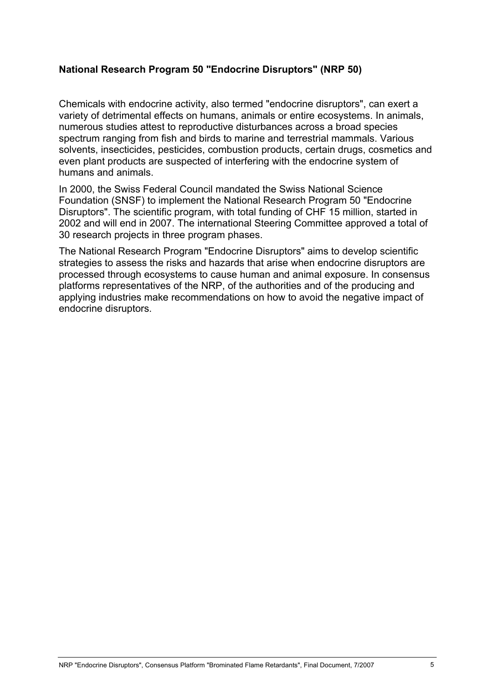#### **National Research Program 50 "Endocrine Disruptors" (NRP 50)**

Chemicals with endocrine activity, also termed "endocrine disruptors", can exert a variety of detrimental effects on humans, animals or entire ecosystems. In animals, numerous studies attest to reproductive disturbances across a broad species spectrum ranging from fish and birds to marine and terrestrial mammals. Various solvents, insecticides, pesticides, combustion products, certain drugs, cosmetics and even plant products are suspected of interfering with the endocrine system of humans and animals.

In 2000, the Swiss Federal Council mandated the Swiss National Science Foundation (SNSF) to implement the National Research Program 50 "Endocrine Disruptors". The scientific program, with total funding of CHF 15 million, started in 2002 and will end in 2007. The international Steering Committee approved a total of 30 research projects in three program phases.

The National Research Program "Endocrine Disruptors" aims to develop scientific strategies to assess the risks and hazards that arise when endocrine disruptors are processed through ecosystems to cause human and animal exposure. In consensus platforms representatives of the NRP, of the authorities and of the producing and applying industries make recommendations on how to avoid the negative impact of endocrine disruptors.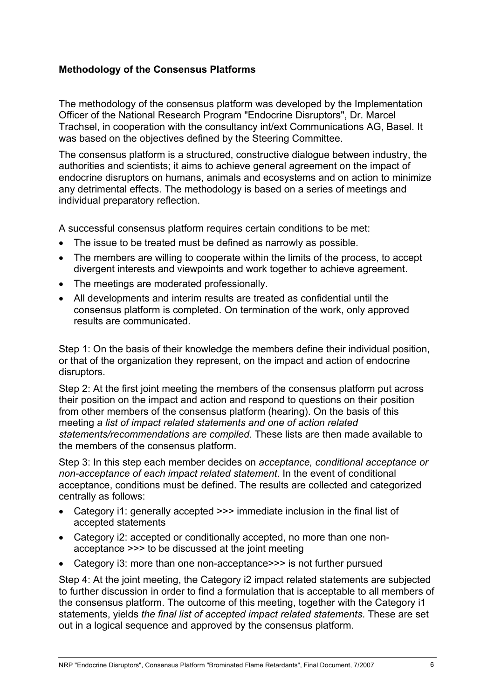## **Methodology of the Consensus Platforms**

The methodology of the consensus platform was developed by the Implementation Officer of the National Research Program "Endocrine Disruptors", Dr. Marcel Trachsel, in cooperation with the consultancy int/ext Communications AG, Basel. It was based on the objectives defined by the Steering Committee.

The consensus platform is a structured, constructive dialogue between industry, the authorities and scientists; it aims to achieve general agreement on the impact of endocrine disruptors on humans, animals and ecosystems and on action to minimize any detrimental effects. The methodology is based on a series of meetings and individual preparatory reflection.

A successful consensus platform requires certain conditions to be met:

- The issue to be treated must be defined as narrowly as possible.
- The members are willing to cooperate within the limits of the process, to accept divergent interests and viewpoints and work together to achieve agreement.
- The meetings are moderated professionally.
- All developments and interim results are treated as confidential until the consensus platform is completed. On termination of the work, only approved results are communicated.

Step 1: On the basis of their knowledge the members define their individual position, or that of the organization they represent, on the impact and action of endocrine disruptors.

Step 2: At the first joint meeting the members of the consensus platform put across their position on the impact and action and respond to questions on their position from other members of the consensus platform (hearing). On the basis of this meeting *a list of impact related statements and one of action related statements/recommendations are compiled*. These lists are then made available to the members of the consensus platform.

Step 3: In this step each member decides on *acceptance, conditional acceptance or non-acceptance of each impact related statement*. In the event of conditional acceptance, conditions must be defined. The results are collected and categorized centrally as follows:

- Category i1: generally accepted >>> immediate inclusion in the final list of accepted statements
- Category i2: accepted or conditionally accepted, no more than one nonacceptance >>> to be discussed at the joint meeting
- Category i3: more than one non-acceptance>>> is not further pursued

Step 4: At the joint meeting, the Category i2 impact related statements are subjected to further discussion in order to find a formulation that is acceptable to all members of the consensus platform. The outcome of this meeting, together with the Category i1 statements, yields *the final list of accepted impact related statements*. These are set out in a logical sequence and approved by the consensus platform.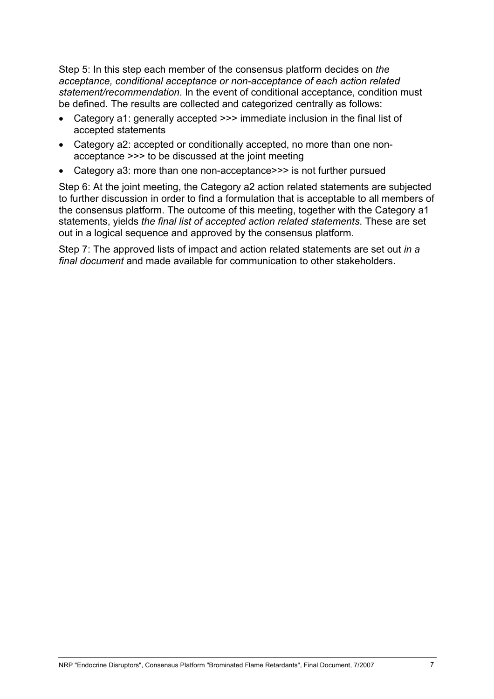Step 5: In this step each member of the consensus platform decides on *the acceptance, conditional acceptance or non-acceptance of each action related statement/recommendation*. In the event of conditional acceptance, condition must be defined. The results are collected and categorized centrally as follows:

- Category a1: generally accepted >>> immediate inclusion in the final list of accepted statements
- Category a2: accepted or conditionally accepted, no more than one nonacceptance >>> to be discussed at the joint meeting
- Category a3: more than one non-acceptance>>> is not further pursued

Step 6: At the joint meeting, the Category a2 action related statements are subjected to further discussion in order to find a formulation that is acceptable to all members of the consensus platform. The outcome of this meeting, together with the Category a1 statements, yields *the final list of accepted action related statements*. These are set out in a logical sequence and approved by the consensus platform.

Step 7: The approved lists of impact and action related statements are set out *in a final document* and made available for communication to other stakeholders.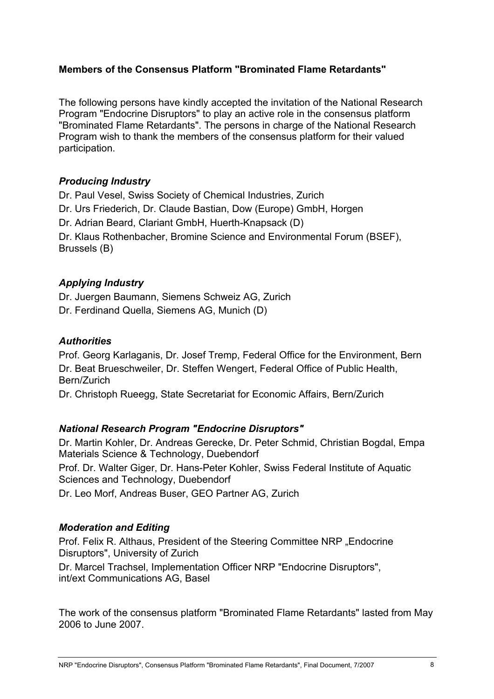## **Members of the Consensus Platform "Brominated Flame Retardants"**

The following persons have kindly accepted the invitation of the National Research Program "Endocrine Disruptors" to play an active role in the consensus platform "Brominated Flame Retardants". The persons in charge of the National Research Program wish to thank the members of the consensus platform for their valued participation.

## *Producing Industry*

Dr. Paul Vesel, Swiss Society of Chemical Industries, Zurich Dr. Urs Friederich, Dr. Claude Bastian, Dow (Europe) GmbH, Horgen Dr. Adrian Beard, Clariant GmbH, Huerth-Knapsack (D) Dr. Klaus Rothenbacher, Bromine Science and Environmental Forum (BSEF), Brussels (B)

# *Applying Industry*

Dr. Juergen Baumann, Siemens Schweiz AG, Zurich Dr. Ferdinand Quella, Siemens AG, Munich (D)

# *Authorities*

Prof. Georg Karlaganis, Dr. Josef Tremp, Federal Office for the Environment, Bern Dr. Beat Brueschweiler, Dr. Steffen Wengert, Federal Office of Public Health, Bern/Zurich

Dr. Christoph Rueegg, State Secretariat for Economic Affairs, Bern/Zurich

# *National Research Program "Endocrine Disruptors"*

Dr. Martin Kohler, Dr. Andreas Gerecke, Dr. Peter Schmid, Christian Bogdal, Empa Materials Science & Technology, Duebendorf Prof. Dr. Walter Giger, Dr. Hans-Peter Kohler, Swiss Federal Institute of Aquatic Sciences and Technology, Duebendorf Dr. Leo Morf, Andreas Buser, GEO Partner AG, Zurich

# *Moderation and Editing*

Prof. Felix R. Althaus, President of the Steering Committee NRP "Endocrine Disruptors", University of Zurich

Dr. Marcel Trachsel, Implementation Officer NRP "Endocrine Disruptors", int/ext Communications AG, Basel

The work of the consensus platform "Brominated Flame Retardants" lasted from May 2006 to June 2007.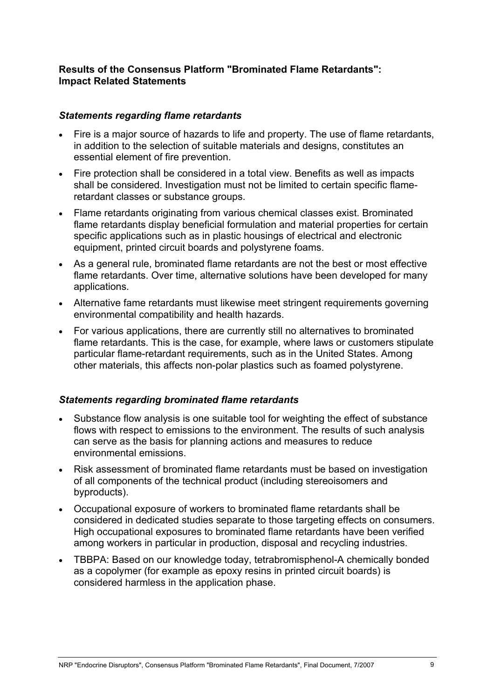#### **Results of the Consensus Platform "Brominated Flame Retardants": Impact Related Statements**

#### *Statements regarding flame retardants*

- Fire is a major source of hazards to life and property. The use of flame retardants, in addition to the selection of suitable materials and designs, constitutes an essential element of fire prevention.
- Fire protection shall be considered in a total view. Benefits as well as impacts shall be considered. Investigation must not be limited to certain specific flameretardant classes or substance groups.
- Flame retardants originating from various chemical classes exist. Brominated flame retardants display beneficial formulation and material properties for certain specific applications such as in plastic housings of electrical and electronic equipment, printed circuit boards and polystyrene foams.
- As a general rule, brominated flame retardants are not the best or most effective flame retardants. Over time, alternative solutions have been developed for many applications.
- Alternative fame retardants must likewise meet stringent requirements governing environmental compatibility and health hazards.
- For various applications, there are currently still no alternatives to brominated flame retardants. This is the case, for example, where laws or customers stipulate particular flame-retardant requirements, such as in the United States. Among other materials, this affects non-polar plastics such as foamed polystyrene.

## *Statements regarding brominated flame retardants*

- Substance flow analysis is one suitable tool for weighting the effect of substance flows with respect to emissions to the environment. The results of such analysis can serve as the basis for planning actions and measures to reduce environmental emissions.
- Risk assessment of brominated flame retardants must be based on investigation of all components of the technical product (including stereoisomers and byproducts).
- Occupational exposure of workers to brominated flame retardants shall be considered in dedicated studies separate to those targeting effects on consumers. High occupational exposures to brominated flame retardants have been verified among workers in particular in production, disposal and recycling industries.
- TBBPA: Based on our knowledge today, tetrabromisphenol-A chemically bonded as a copolymer (for example as epoxy resins in printed circuit boards) is considered harmless in the application phase.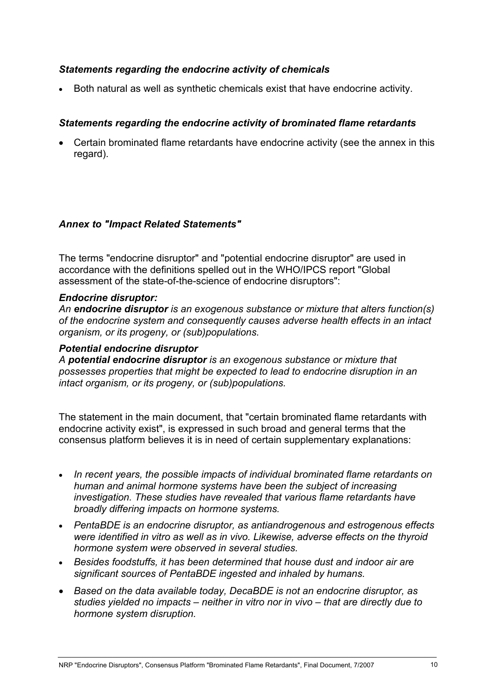#### *Statements regarding the endocrine activity of chemicals*

• Both natural as well as synthetic chemicals exist that have endocrine activity.

## *Statements regarding the endocrine activity of brominated flame retardants*

• Certain brominated flame retardants have endocrine activity (see the annex in this regard).

#### *Annex to "Impact Related Statements"*

The terms "endocrine disruptor" and "potential endocrine disruptor" are used in accordance with the definitions spelled out in the WHO/IPCS report "Global assessment of the state-of-the-science of endocrine disruptors":

#### *Endocrine disruptor:*

*An endocrine disruptor is an exogenous substance or mixture that alters function(s) of the endocrine system and consequently causes adverse health effects in an intact organism, or its progeny, or (sub)populations.* 

#### *Potential endocrine disruptor*

*A potential endocrine disruptor is an exogenous substance or mixture that possesses properties that might be expected to lead to endocrine disruption in an intact organism, or its progeny, or (sub)populations.* 

The statement in the main document, that "certain brominated flame retardants with endocrine activity exist", is expressed in such broad and general terms that the consensus platform believes it is in need of certain supplementary explanations:

- *In recent years, the possible impacts of individual brominated flame retardants on human and animal hormone systems have been the subject of increasing investigation. These studies have revealed that various flame retardants have broadly differing impacts on hormone systems.*
- *PentaBDE is an endocrine disruptor, as antiandrogenous and estrogenous effects were identified in vitro as well as in vivo. Likewise, adverse effects on the thyroid hormone system were observed in several studies.*
- *Besides foodstuffs, it has been determined that house dust and indoor air are significant sources of PentaBDE ingested and inhaled by humans.*
- *Based on the data available today, DecaBDE is not an endocrine disruptor, as studies yielded no impacts – neither in vitro nor in vivo – that are directly due to hormone system disruption.*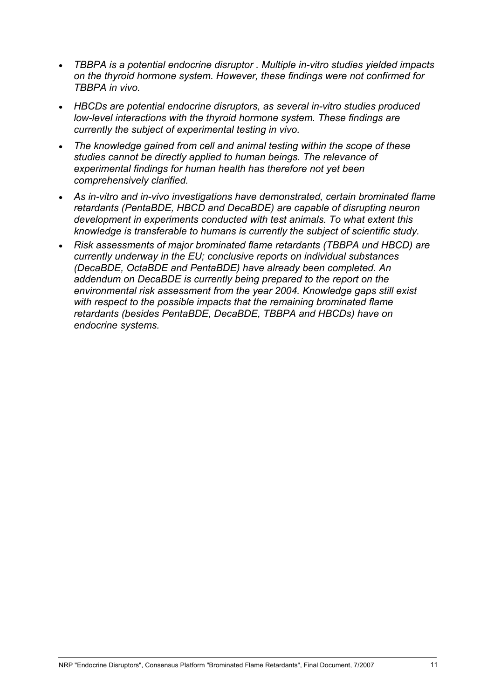- *TBBPA is a potential endocrine disruptor . Multiple in-vitro studies yielded impacts on the thyroid hormone system. However, these findings were not confirmed for TBBPA in vivo.*
- *HBCDs are potential endocrine disruptors, as several in-vitro studies produced low-level interactions with the thyroid hormone system. These findings are currently the subject of experimental testing in vivo.*
- *The knowledge gained from cell and animal testing within the scope of these studies cannot be directly applied to human beings. The relevance of experimental findings for human health has therefore not yet been comprehensively clarified.*
- *As in-vitro and in-vivo investigations have demonstrated, certain brominated flame retardants (PentaBDE, HBCD and DecaBDE) are capable of disrupting neuron development in experiments conducted with test animals. To what extent this knowledge is transferable to humans is currently the subject of scientific study.*
- *Risk assessments of major brominated flame retardants (TBBPA und HBCD) are currently underway in the EU; conclusive reports on individual substances (DecaBDE, OctaBDE and PentaBDE) have already been completed. An addendum on DecaBDE is currently being prepared to the report on the environmental risk assessment from the year 2004. Knowledge gaps still exist with respect to the possible impacts that the remaining brominated flame retardants (besides PentaBDE, DecaBDE, TBBPA and HBCDs) have on endocrine systems.*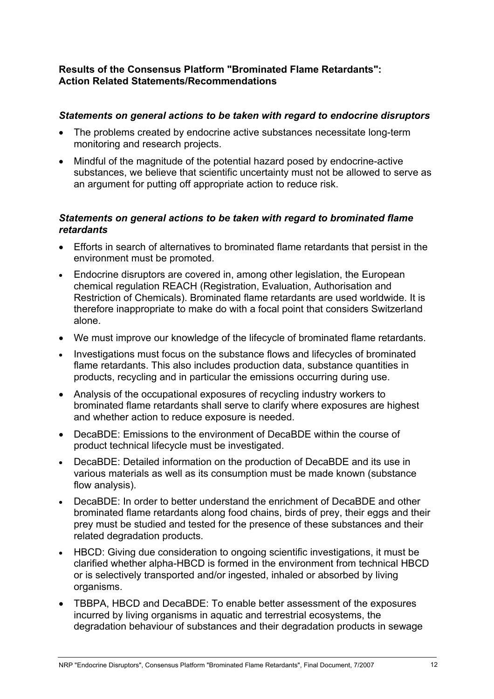#### **Results of the Consensus Platform "Brominated Flame Retardants": Action Related Statements/Recommendations**

#### *Statements on general actions to be taken with regard to endocrine disruptors*

- The problems created by endocrine active substances necessitate long-term monitoring and research projects.
- Mindful of the magnitude of the potential hazard posed by endocrine-active substances, we believe that scientific uncertainty must not be allowed to serve as an argument for putting off appropriate action to reduce risk.

## *Statements on general actions to be taken with regard to brominated flame retardants*

- Efforts in search of alternatives to brominated flame retardants that persist in the environment must be promoted.
- Endocrine disruptors are covered in, among other legislation, the European chemical regulation REACH (Registration, Evaluation, Authorisation and Restriction of Chemicals). Brominated flame retardants are used worldwide. It is therefore inappropriate to make do with a focal point that considers Switzerland alone.
- We must improve our knowledge of the lifecycle of brominated flame retardants.
- Investigations must focus on the substance flows and lifecycles of brominated flame retardants. This also includes production data, substance quantities in products, recycling and in particular the emissions occurring during use.
- Analysis of the occupational exposures of recycling industry workers to brominated flame retardants shall serve to clarify where exposures are highest and whether action to reduce exposure is needed.
- DecaBDE: Emissions to the environment of DecaBDE within the course of product technical lifecycle must be investigated.
- DecaBDE: Detailed information on the production of DecaBDE and its use in various materials as well as its consumption must be made known (substance flow analysis).
- DecaBDE: In order to better understand the enrichment of DecaBDE and other brominated flame retardants along food chains, birds of prey, their eggs and their prey must be studied and tested for the presence of these substances and their related degradation products.
- HBCD: Giving due consideration to ongoing scientific investigations, it must be clarified whether alpha-HBCD is formed in the environment from technical HBCD or is selectively transported and/or ingested, inhaled or absorbed by living organisms.
- TBBPA, HBCD and DecaBDE: To enable better assessment of the exposures incurred by living organisms in aquatic and terrestrial ecosystems, the degradation behaviour of substances and their degradation products in sewage